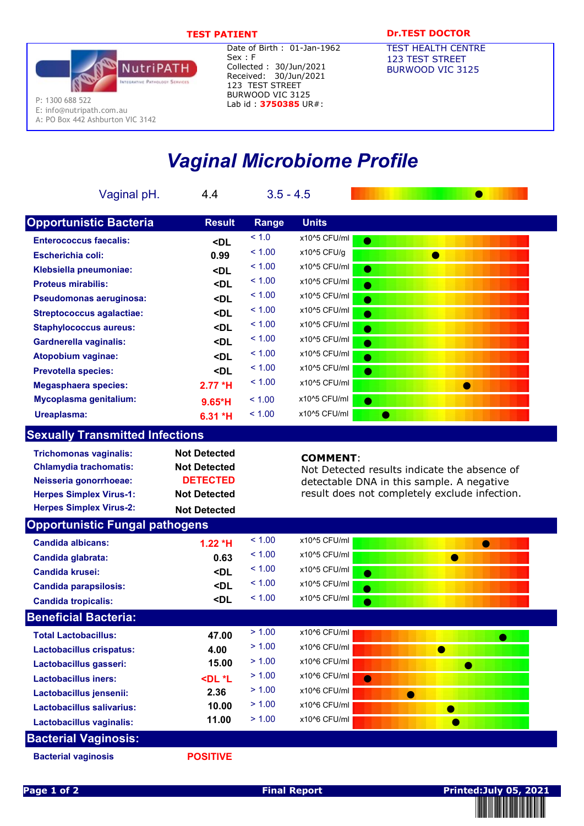

Date of Birth : 01-Jan-1962 Sex : F Collected : 30/Jun/2021 Received: 30/Jun/2021 123 TEST STREET BURWOOD VIC 3125 Lab id: 3750385 UR#:

## TEST PATIENT **DR.TEST DOCTOR**

TEST HEALTH CENTRE 123 TEST STREET BURWOOD VIC 3125

# Vaginal Microbiome Profile

|            | Vaginal pH.                                                    | $5.7*H$                                                                                              | $3.5 - 4.5$ |                 |                                                                                           |
|------------|----------------------------------------------------------------|------------------------------------------------------------------------------------------------------|-------------|-----------------|-------------------------------------------------------------------------------------------|
|            | <b>Opportunistic Bacteria</b>                                  | <b>Result</b>                                                                                        | Range       | <b>Units</b>    |                                                                                           |
|            | <b>Enterococcus faecalis:</b>                                  |                                                                                                      | < 1.0       | x10^5 CFU/ml    | $\bullet$                                                                                 |
|            | <b>Escherichia coli:</b>                                       | <dl<br>0.99</dl<br>                                                                                  | < 1.00      | x10^5 CFU/g     | $\bullet$                                                                                 |
|            | Klebsiella pneumoniae:                                         |                                                                                                      | < 1.00      | x10^5 CFU/ml    | $\bullet$                                                                                 |
|            | <b>Proteus mirabilis:</b>                                      | <dl<br><dl< th=""><th>&lt; 1.00</th><th>x10^5 CFU/ml</th><th><math>\bullet</math></th></dl<></dl<br> | < 1.00      | x10^5 CFU/ml    | $\bullet$                                                                                 |
|            | Pseudomonas aeruginosa:                                        | <dl< th=""><th>&lt; 1.00</th><th>x10^5 CFU/ml</th><th></th></dl<>                                    | < 1.00      | x10^5 CFU/ml    |                                                                                           |
|            | <b>Streptococcus agalactiae:</b>                               | <dl< th=""><th>&lt; 1.00</th><th>x10^5 CFU/ml</th><th></th></dl<>                                    | < 1.00      | x10^5 CFU/ml    |                                                                                           |
|            | <b>Staphylococcus aureus:</b>                                  | <dl< th=""><th>&lt; 1.00</th><th>x10^5 CFU/ml</th><th></th></dl<>                                    | < 1.00      | x10^5 CFU/ml    |                                                                                           |
|            | <b>Gardnerella vaginalis:</b>                                  | $10.6*H$                                                                                             | < 1.00      | x10^5 CFU/ml    | $\bullet$                                                                                 |
|            | Atopobium vaginae:                                             | <dl< th=""><th>&lt; 1.00</th><th>x10^5 CFU/ml</th><th><math>\bullet</math></th></dl<>                | < 1.00      | x10^5 CFU/ml    | $\bullet$                                                                                 |
|            | <b>Prevotella species:</b>                                     | <dl< th=""><th>&lt; 1.00</th><th>x10^5 CFU/ml</th><th><math>\bullet</math></th></dl<>                | < 1.00      | x10^5 CFU/ml    | $\bullet$                                                                                 |
|            | <b>Megasphaera species:</b>                                    | $2.77*H$                                                                                             | < 1.00      | x10^5 CFU/ml    | $\bullet$                                                                                 |
|            | Mycoplasma genitalium:                                         | $9.65*H$                                                                                             | < 1.00      | x10^6 CFU/ml    | $\bullet$                                                                                 |
| <b>NEW</b> | Ureaplasma:                                                    | $6.31*H$                                                                                             | < 1.00      | x10^6 CFU/ml    | $\bullet$                                                                                 |
|            | <b>Sexually Transmitted Infections</b>                         |                                                                                                      |             |                 |                                                                                           |
|            |                                                                | <b>Not Detected</b>                                                                                  |             |                 |                                                                                           |
|            | <b>Trichomonas vaginalis:</b><br><b>Chlamydia trachomatis:</b> | <b>Not Detected</b>                                                                                  |             | <b>COMMENT:</b> |                                                                                           |
|            | Neisseria gonorrhoeae:                                         | <b>DETECTED</b>                                                                                      |             |                 | Not Detected results indicate the absence of<br>detectable DNA in this sample. A negative |
|            | <b>Herpes Simplex Virus-1:</b>                                 | <b>Not Detected</b>                                                                                  |             |                 | result does not completely exclude infection.                                             |
|            | <b>Herpes Simplex Virus-2:</b>                                 | <b>Not Detected</b>                                                                                  |             |                 |                                                                                           |
|            | <b>Opportunistic Fungal pathogens</b>                          |                                                                                                      |             |                 |                                                                                           |
|            | <b>Candida albicans:</b>                                       | $1.22*H$                                                                                             | < 1.00      | x10^5 CFU/ml    | $\bullet$                                                                                 |
|            | Candida glabrata:                                              | 0.63                                                                                                 | < 1.00      | x10^5 CFU/ml    | $\bullet$                                                                                 |
|            | Candida krusei:                                                | <dl< th=""><th>&lt; 1.00</th><th>x10^5 CFU/ml</th><th></th></dl<>                                    | < 1.00      | x10^5 CFU/ml    |                                                                                           |
|            | <b>Candida parapsilosis:</b>                                   | <dl< th=""><th>&lt; 1.00</th><th>x10^5 CFU/ml</th><th></th></dl<>                                    | < 1.00      | x10^5 CFU/ml    |                                                                                           |
|            | <b>Candida tropicalis:</b>                                     | $\n  DL\n$                                                                                           | < 1.00      | x10^5 CFU/ml    |                                                                                           |
|            | <b>Beneficial Bacteria:</b>                                    |                                                                                                      |             |                 |                                                                                           |
|            | <b>Total Lactobacillus:</b>                                    | 47.00                                                                                                | > 1.00      | x10^6 CFU/ml    | ●                                                                                         |
|            | Lactobacillus crispatus:                                       | 4.00                                                                                                 | > 1.00      | x10^6 CFU/ml    | $\bullet$                                                                                 |
|            | Lactobacillus gasseri:                                         | 15.00                                                                                                | > 1.00      | x10^6 CFU/ml    | ●                                                                                         |
|            | <b>Lactobacillus iners:</b>                                    | <dl *l<="" th=""><th>&gt; 1.00</th><th>x10^6 CFU/ml</th><th><math>\bullet</math></th></dl>           | > 1.00      | x10^6 CFU/ml    | $\bullet$                                                                                 |
|            | Lactobacillus jensenii:                                        | 2.36                                                                                                 | > 1.00      | x10^6 CFU/ml    | $\bullet$                                                                                 |
|            | Lactobacillus salivarius:                                      | 10.00                                                                                                | > 1.00      | x10^6 CFU/ml    | $\bullet$                                                                                 |
|            | Lactobacillus vaginalis:                                       | 11.00                                                                                                | > 1.00      | x10^6 CFU/ml    |                                                                                           |
|            | <b>Bacterial Vaginosis:</b>                                    |                                                                                                      |             |                 |                                                                                           |
|            | <b>Bacterial vaginosis</b>                                     | <b>POSITIVE</b>                                                                                      |             |                 |                                                                                           |